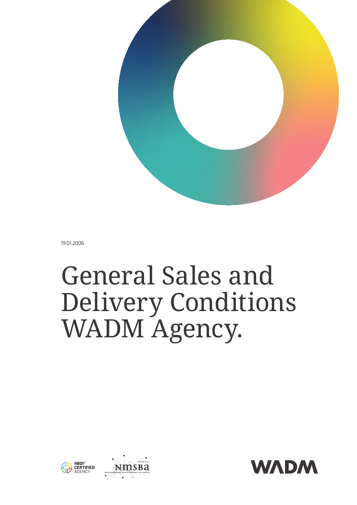

19.01.2006

# General Sales and Delivery Conditions WADM Agency.



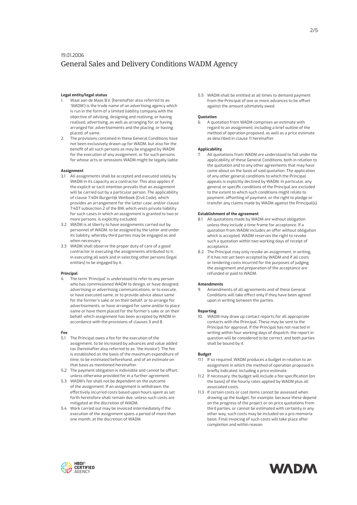# **Legal entity/legal status**

- 1. Waal aan de Maas B.V. (hereinafter also referred to as: 'WADM') is the trade name of an advertising agency which is run in the form of a limited liability company with the objective of advising, designing and realising, or having realised, advertising, as well as arranging for, or having arranged for, advertisements and the placing, or having placed, of same.
- 2. The provisions contained in these General Conditions have not been exclusively drawn up for WADM, but also for the benefit of all such persons as may be engaged by WADM for the execution of any assignment, or for such persons for whose acts or omissions WADM might be legally liable.

# **Assignment**

- 3.1 All assignments shall be accepted and executed solely by WADM in its capacity as a contractor. This also applies if the explicit or tacit intention prevails that an assignment will be carried out by a particular person. The applicability of clause 7:404 Burgerlijk Wetboek (Civil Code), which provides an arrangement for the latter case, and/or clause 7:407 subsection 2 of the BW, which vests private liability for such cases in which an assignment is granted to two or more persons, is explicitly excluded.
- 3.2 WADM is at liberty to have assignments carried out by personnel of WADM, to be assigned by the latter and under its liability, whereby third parties may be engaged as and when necessary.
- 3.3 WADM shall observe the proper duty of care of a good contractor in executing the assignments attributed to it, in executing all work and in selecting other persons (legal entities) to be engaged by it.

# **Principal**

4. The term 'Principal' is understood to refer to any person who has commissioned WADM to design, or have designed, advertising or advertising communications, or to execute, or have executed same, or to provide advice about same for the former's sake or on their behalf, or to arrange for advertisements, or have arranged for same and/or to place same or have them placed for the former's sake or on their behalf, which assignment has been accepted by WADM in accordance with the provisions of clauses 3 and 8.

#### **Fee**

- 5.1 The Principal owes a fee for the execution of the assignment, to be increased by advances and value added tax (hereinafter also referred to as: 'the invoice'). The fee is established on the basis of the maximum expenditure of time, to be estimated beforehand, and of an estimate on that basis as mentioned hereinafter.
- 5.2 The payment obligation is indivisible and cannot be offset, unless otherwise provided for in a further agreement.
- 5.3 WADM's fee shall not be dependent on the outcome of the assignment. If an assignment is withdrawn, the effectively incurred costs based upon hours spent as set forth heretofore shall remain due, unless such costs are mitigated at the discretion of WADM.
- 5.4 Work carried out may be invoiced intermediately if the execution of the assignment spans a period of more than one month, at the discretion of WADM.

5.5 WADM shall be entitled at all times to demand payment from the Principal of one or more advances to be offset against the amount ultimately owed.

## **Quotation**

6. A quotation from WADM comprises an estimate with regard to an assignment, including a brief outline of the method of operation proposed, as well as a price estimate as described in clause 11 hereinafter.

#### **Applicability**

All quotations from WADM are understood to fall under the applicability of these General Conditions, both in relation to the quotation and to any other agreements that may have come about on the basis of said quotation. The application of any other general conditions to which the Principal appeals is explicitly declined by WADM. In particular, any general or specific conditions of the Principal are excluded to the extent to which such conditions might relate to payment, offsetting of payment, or the right to pledge or transfer any claims made by WADM against the Principal(s).

# **Establishment of the agreement**

- 8.1 All quotations made by WADM are without obligation unless they include a time frame for acceptance. If a quotation from WADM includes an offer without obligation which is accepted, WADM reserves the right to revoke such a quotation within two working days of receipt of acceptance.
- 8.2 The Principal may only revoke an assignment, in writing, if it has not yet been accepted by WADM and if all costs or tendering costs incurred for the purposes of judging the assignment and preparation of the acceptance are refunded or paid to WADM.

#### **Amendments**

Amendments of all agreements and of these General Conditions will take effect only if they have been agreed upon in writing between the parties.

# **Reporting**

WADM may draw up contact reports for all appropriate contacts with the Principal. These may be sent to the Principal for approval. If the Principal has not reacted in writing within four working days of dispatch, the report in question will be considered to be correct, and both parties shall be bound by it.

# **Budget**

- 11.1 If so required, WADM produces a budget in relation to an assignment in which the method of operation proposed is briefly indicated, including a price estimate.
- 11.2 If necessary, the budget will include a fee specification (on the basis) of the hourly rates applied by WADM plus all associated costs.
- 11.3 If certain costs or cost items cannot be assessed when drawing up the budget, for example, because these depend on the progress of the project or on price quotations from third parties, or cannot be estimated with certainty in any other way, such costs may be included on a pro memoria basis. Final invoicing of such costs will take place after completion and within reason.



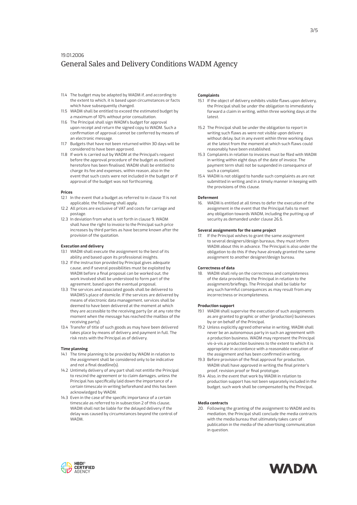- 11.4 The budget may be adapted by WADM if, and according to the extent to which, it is based upon circumstances or facts which have subsequently changed.
- 11.5 WADM shall be entitled to exceed the estimated budget by a maximum of 10% without prior consultation.
- 11.6 The Principal shall sign WADM's budget for approval upon receipt and return the signed copy to WADM. Such a confirmation of approval cannot be conferred by means of an electronic message.
- 11.7 Budgets that have not been returned within 30 days will be considered to have been approved.
- 11.8 If work is carried out by WADM at the Principal's request before the approval procedure of the budget as outlined heretofore has been finalised, WADM shall be entitled to charge its fee and expenses, within reason, also in the event that such costs were not included in the budget or if approval of the budget was not forthcoming.

# **Prices**

- 12.1 In the event that a budget as referred to in clause 11 is not applicable, the following shall apply.
- 12.2 All prices are exclusive of VAT and costs for carriage and postage.
- 12.3 In deviation from what is set forth in clause 9, WADM shall have the right to invoice to the Principal such price increases by third parties as have become known after the provision of the quotation.

## **Execution and delivery**

- 13.1 WADM shall execute the assignment to the best of its ability and based upon its professional insights.
- 13.2 If the instruction provided by Principal gives adequate cause, and if several possibilities must be exploited by WADM before a final proposal can be worked out, the work involved shall be understood to form part of the agreement, based upon the eventual proposal.
- 13.3 The services and associated goods shall be delivered to WADMS's place of domicile. If the services are delivered by means of electronic data management, services shall be deemed to have been delivered at the moment at which they are accessible to the receiving party (or at any rate the moment when the message has reached the mailbox of the receiving party).
- 13.4 Transfer of title of such goods as may have been delivered takes place by means of delivery and payment in full. The risk rests with the Principal as of delivery.

#### **Time planning**

- 14.1 The time planning to be provided by WADM in relation to the assignment shall be considered only to be indicative and not a final deadline(s).
- 14.2 Untimely delivery of any part shall not entitle the Principal to rescind the agreement or to claim damages, unless the Principal has specifically laid down the importance of a certain timescale in writing beforehand and this has been acknowledged by WADM.
- 14.3 Even in the case of the specific importance of a certain timescale as referred to in subsection 2 of this clause, WADM shall not be liable for the delayed delivery if the delay was caused by circumstances beyond the control of WADM.

## **Complaints**

- 15.1 If the object of delivery exhibits visible flaws upon delivery, the Principal shall be under the obligation to immediately forward a claim in writing, within three working days at the latest.
- 15.2 The Principal shall be under the obligation to report in writing such flaws as were not visible upon delivery without delay, but in any event within three working days at the latest from the moment at which such flaws could reasonably have been established.
- 15.3 Complaints in relation to invoices must be filed with WADM in writing within eight days of the date of invoice. The payment term shall not be suspended in consequence of such a complaint.
- 15.4 WADM is not obliged to handle such complaints as are not submitted in writing and in a timely manner in keeping with the provisions of this clause.

#### **Deferment**

16. WADM is entitled at all times to defer the execution of the assignment in the event that the Principal fails to meet any obligation towards WADM, including the putting up of security as demanded under clause 26.5.

# **Several assignments for the same project**

If the Principal wishes to grant the same assignment to several designers/design bureaus, they must inform WADM about this in advance. The Principal is also under the obligation to do this if they have already granted the same assignment to another designer/design bureau.

#### **Correctness of data**

18. WADM shall rely on the correctness and completeness of the data provided by the Principal in relation to the assignment/briefings. The Principal shall be liable for any such harmful consequences as may result from any incorrectness or incompleteness.

#### **Production support**

- 19.1 WADM shall supervise the execution of such assignments as are granted to graphic or other (production) businesses by or on behalf of the Principal.
- 19.2 Unless explicitly agreed otherwise in writing, WADM shall never be an autonomous party in such an agreement with a production business. WADM may represent the Principal vis-à-vis a production business to the extent to which it is appropriate in accordance with a reasonable execution of the assignment and has been confirmed in writing.
- 19.3 Before provision of the final approval for production, WADM shall have approved in writing the final printer's proof, revision proof or final prototype.
- 19.4 Also, in the event that work by WADM in relation to production support has not been separately included in the budget, such work shall be compensated by the Principal.

#### **Media contracts**

20. Following the granting of the assignment to WADM and its mediation, the Principal shall conclude the media contracts with the media bureau that ultimately takes care of publication in the media of the advertising communication in question.



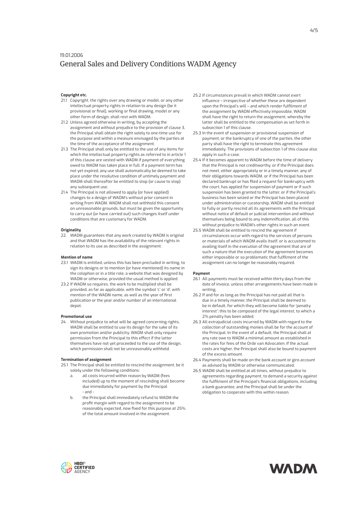# **Copyright etc.**

- 21.1 Copyright, the rights over any drawing or model, or any other intellectual property rights in relation to any design (be it provisional or final), working or final drawing, model or any other form of design, shall rest with WADM.
- 21.2 Unless agreed otherwise in writing, by accepting the assignment and without prejudice to the provision of clause 3, the Principal shall obtain the right solely to one-time use for the purpose and within a measure envisaged by the parties at the time of the acceptance of the assignment.
- 21.3 The Principal shall only be entitled to the use of any items for which the intellectual property rights as referred to in article 1 of this clause are vested with WADM if payment of everything owed to WADM has taken place in full. If a payment term has not yet expired, any use shall automatically be deemed to take place under the resolutive condition of untimely payment and WADM shall thereafter be entitled to stop (or cause to stop) any subsequent use.
- 21.4 The Principal is not allowed to apply (or have applied) changes to a design of WADM's without prior consent in writing from WADM. WADM shall not withhold this consent on unreasonable grounds, but must be given the opportunity to carry out (or have carried out) such changes itself under conditions that are customary for WADM.

#### **Originality**

22. WADM guarantees that any work created by WADM is original and that WADM has the availability of the relevant rights in relation to its use as described in the assignment.

#### **Mention of name**

- 23.1 WADM is entitled, unless this has been precluded in writing, to sign its designs or to mention (or have mentioned) its name in the colophon or in a title role, a website that was designed by WADM or otherwise, provided the usual method is applied.
- 23.2 If WADM so requires, the work to be multiplied shall be provided, as far as applicable, with the symbol 'c' or 'd', with mention of the WADM name, as well as the year of first publication or the year and/or number of an international depot.

#### **Promotional use**

24. Without prejudice to what will be agreed concerning rights, WADM shall be entitled to use its design for the sake of its own promotion and/or publicity. WADM shall only require permission from the Principal to this effect if the latter themselves have not yet proceeded to the use of the design, which permission shall not be unreasonably withheld.

#### **Termination of assignment**

- 25.1 The Principal shall be entitled to rescind the assignment, be it solely under the following conditions:
	- all costs incurred within reason by WADM (fees included) up to the moment of rescinding shall become due immediately for payment by the Principal - and -
	- b. the Principal shall immediately refund to WADM the profit margin with regard to the assignment to be reasonably expected, now fixed for this purpose at 25% of the total amount involved in the assignment.
- 25.2 If circumstances prevail in which WADM cannot exert influence – irrespective of whether these are dependent upon the Principal's will – and which render fulfilment of the assignment by WADM effectively impossible, WADM shall have the right to return the assignment, whereby the latter shall be entitled to the compensation as set forth in subsection 1 of this clause.
- 25.3 In the event of suspension or provisional suspension of payment, or the bankruptcy of one of the parties, the other party shall have the right to terminate this agreement immediately. The provisions of subsection 1 of this clause also apply in such a case.
- 25.4 If it becomes apparent to WADM before the time of delivery that the Principal is not creditworthy, or if the Principal does not meet, either appropriately or in a timely manner, any of their obligations towards WADM, or if the Principal has been declared bankrupt or has filed a request for bankruptcy with the court, has applied for suspension of payment or if such suspension has been granted to the latter, or if the Principal's business has been seized or the Principal has been placed under administration or curatorship, WADM shall be entitled to fully or partly rescind all its agreements with the Principal without notice of default or judicial intervention and without themselves being bound to any indemnification, all of this without prejudice to WADM's other rights in such an event.
- 25.5 WADM shall be entitled to rescind the agreement if circumstances occur with regard to the services of persons or materials of which WADM avails itself, or is accustomed to availing itself in the execution of the agreement that are of such a nature that the execution of the agreement becomes either impossible or so problematic that fulfilment of the assignment can no longer be reasonably required.

#### **Payment**

- 26.1 All payments must be received within thirty days from the date of invoice, unless other arrangements have been made in writing.
- 26.2 If and for as long as the Principal has not paid all that is due in a timely manner, the Principal shall be deemed to be in default, for which they will become liable for 'penalty interest'; this to be composed of the legal interest, to which a 2% penalty has been added.
- 26.3 All extrajudicial costs incurred by WADM with regard to the collection of outstanding monies shall be for the account of the Principal. In the event of a default, the Principal shall at any rate owe to WADM a minimal amount as established in the rates for fees of the Orde van Advocaten. If the actual costs are higher, the Principal shall also be bound to payment of the excess amount.
- 26.4 Payments shall be made on the bank account or giro account as advised by WADM or otherwise communicated.
- 26.5 WADM shall be entitled at all times, without prejudice to agreements regarding payment, to demand a security against the fulfilment of the Principal's financial obligations, including a bank guarantee, and the Principal shall be under the obligation to cooperate with this within reason.



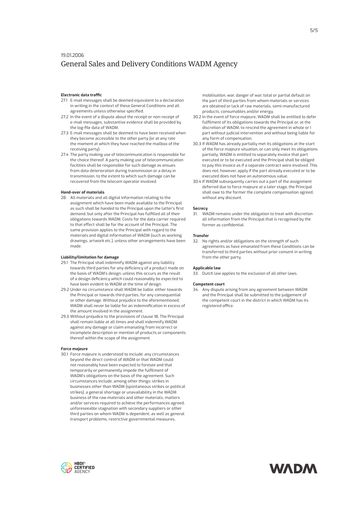# **Electronic data traffic**

- 27.1 E-mail messages shall be deemed equivalent to a declaration in writing in the context of these General Conditions and all agreements unless otherwise specified.
- 27.2 In the event of a dispute about the receipt or non-receipt of e-mail messages, substantive evidence shall be provided by the log-file data of WADM.
- 27.3 E-mail messages shall be deemed to have been received when they become accessible to the other party (or at any rate the moment at which they have reached the mailbox of the receiving party).
- 27.4 The party making use of telecommunication is responsible for the choice thereof. A party making use of telecommunication facilities shall be responsible for such damage as ensues from data deterioration during transmission or a delay in transmission, to the extent to which such damage can be recovered from the telecom operator involved.

# **Hand-over of materials**

28. All materials and all digital information relating to the assignment which have been made available to the Principal as such shall be handed to the Principal upon the latter's first demand, but only after the Principal has fulfilled all of their obligations towards WADM. Costs for the data carrier required to that effect shall be for the account of the Principal. The same provision applies to the Principal with regard to the materials and digital information of WADM (such as working drawings, artwork etc.), unless other arrangements have been made.

#### **Liability/limitation for damage**

- 29.1 The Principal shall indemnify WADM against any liability towards third parties for any deficiency of a product made on the basis of WADM's design, unless this occurs as the result of a design deficiency which could reasonably be expected to have been evident to WADM at the time of design.
- 29.2 Under no circumstance shall WADM be liable, either towards the Principal or towards third parties, for any consequential or other damage. Without prejudice to the aforementioned, WADM shall never be liable for an indemnification in excess of the amount involved in the assignment.
- 29.3 Without prejudice to the provisions of clause 18, The Principal shall remain liable at all times and shall indemnify WADM against any damage or claim emanating from incorrect or incomplete description or mention of products or components thereof within the scope of the assignment.

#### **Force majeure**

30.1 Force majeure is understood to include: any circumstances beyond the direct control of WADM or that WADM could not reasonably have been expected to foresee and that temporarily or permanently impede the fulfilment of WADM's obligations on the basis of the agreement. Such circumstances include, among other things: strikes in businesses other than WADM (spontaneous strikes or political strikes), a general shortage or unavailability in the WADM business of the raw materials and other materials, matters and/or services required to achieve the performances agreed, unforeseeable stagnation with secondary suppliers or other third parties on whom WADM is dependent, as well as general transport problems, restrictive governmental measures,

mobilisation, war, danger of war, total or partial default on the part of third parties from whom materials or services are obtained or lack of raw materials, semi-manufactured products, consumables and/or energy.

- 30.2 In the event of force majeure, WADM shall be entitled to defer fulfilment of its obligations towards the Principal or, at the discretion of WADM, to rescind the agreement in whole or I part without judicial intervention and without being liable for any form of compensation.
- 30.3 If WADM has already partially met its obligations at the start of the force majeure situation, or can only meet its obligations partially, WADM is entitled to separately invoice that part executed or to be executed and the Principal shall be obliged to pay this invoice as if a separate contract were involved. This does not, however, apply if the part already executed or to be executed does not have an autonomous value.
- 30.4 If WADM subsequently carries out a part of the assignment deferred due to force majeure at a later stage, the Principal shall owe to the former the complete compensation agreed, without any discount.

#### **Secrecy**

31. WADM remains under the obligation to treat with discretion all information from the Principal that is recognised by the former as confidential.

#### **Transfer**

32. No rights and/or obligations on the strength of such agreements as have emanated from these Conditions can be transferred to third parties without prior consent in writing from the other party.

# **Applicable law**

33. Dutch law applies to the exclusion of all other laws.

## **Competent court**

Any dispute arising from any agreement between WADM and the Principal shall be submitted to the judgement of the competent court in the district in which WADM has its registered office.